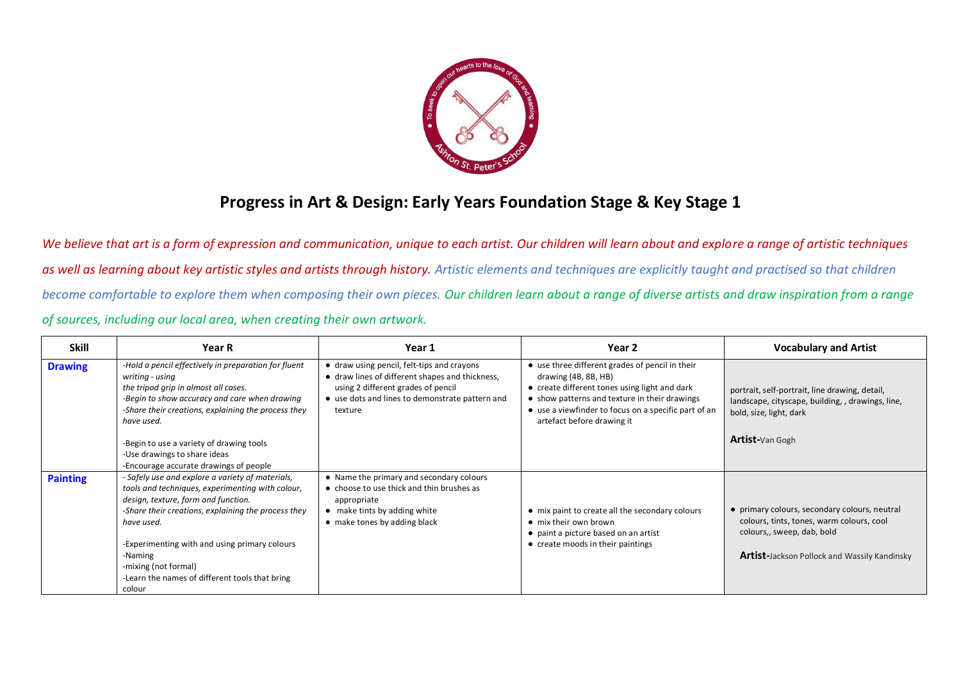

## **Progress in Art & Design: Early Years Foundation Stage & Key Stage 1**

*We believe that art is a form of expression and communication, unique to each artist. Our children will learn about and explore a range of artistic techniques as well as learning about key artistic styles and artists through history. Artistic elements and techniques are explicitly taught and practised so that children become comfortable to explore them when composing their own pieces. Our children learn about a range of diverse artists and draw inspiration from a range of sources, including our local area, when creating their own artwork.*

| <b>Skill</b>    | <b>Year R</b>                                                                                                                                                                                                                                                                                                                                                    | Year 1                                                                                                                                                                                            | Year 2                                                                                                                                                                                                                                                          | <b>Vocabulary and Artist</b>                                                                                                                                                    |
|-----------------|------------------------------------------------------------------------------------------------------------------------------------------------------------------------------------------------------------------------------------------------------------------------------------------------------------------------------------------------------------------|---------------------------------------------------------------------------------------------------------------------------------------------------------------------------------------------------|-----------------------------------------------------------------------------------------------------------------------------------------------------------------------------------------------------------------------------------------------------------------|---------------------------------------------------------------------------------------------------------------------------------------------------------------------------------|
| <b>Drawing</b>  | -Hold a pencil effectively in preparation for fluent<br>writing - using<br>the tripod grip in almost all cases.<br>-Begin to show accuracy and care when drawing<br>-Share their creations, explaining the process they<br>have used.                                                                                                                            | • draw using pencil, felt-tips and crayons<br>• draw lines of different shapes and thickness,<br>using 2 different grades of pencil<br>• use dots and lines to demonstrate pattern and<br>texture | • use three different grades of pencil in their<br>drawing (4B, 8B, HB)<br>• create different tones using light and dark<br>• show patterns and texture in their drawings<br>• use a viewfinder to focus on a specific part of an<br>artefact before drawing it | portrait, self-portrait, line drawing, detail,<br>landscape, cityscape, building, , drawings, line,<br>bold, size, light, dark                                                  |
|                 | -Begin to use a variety of drawing tools<br>-Use drawings to share ideas<br>-Encourage accurate drawings of people                                                                                                                                                                                                                                               |                                                                                                                                                                                                   |                                                                                                                                                                                                                                                                 | <b>Artist-</b> Van Gogh                                                                                                                                                         |
| <b>Painting</b> | - Safely use and explore a variety of materials,<br>tools and techniques, experimenting with colour,<br>design, texture, form and function.<br>-Share their creations, explaining the process they<br>have used.<br>-Experimenting with and using primary colours<br>-Naming<br>-mixing (not formal)<br>-Learn the names of different tools that bring<br>colour | • Name the primary and secondary colours<br>• choose to use thick and thin brushes as<br>appropriate<br>• make tints by adding white<br>• make tones by adding black                              | • mix paint to create all the secondary colours<br>• mix their own brown<br>• paint a picture based on an artist<br>• create moods in their paintings                                                                                                           | • primary colours, secondary colours, neutral<br>colours, tints, tones, warm colours, cool<br>colours,, sweep, dab, bold<br><b>Artist-Jackson Pollock and Wassily Kandinsky</b> |